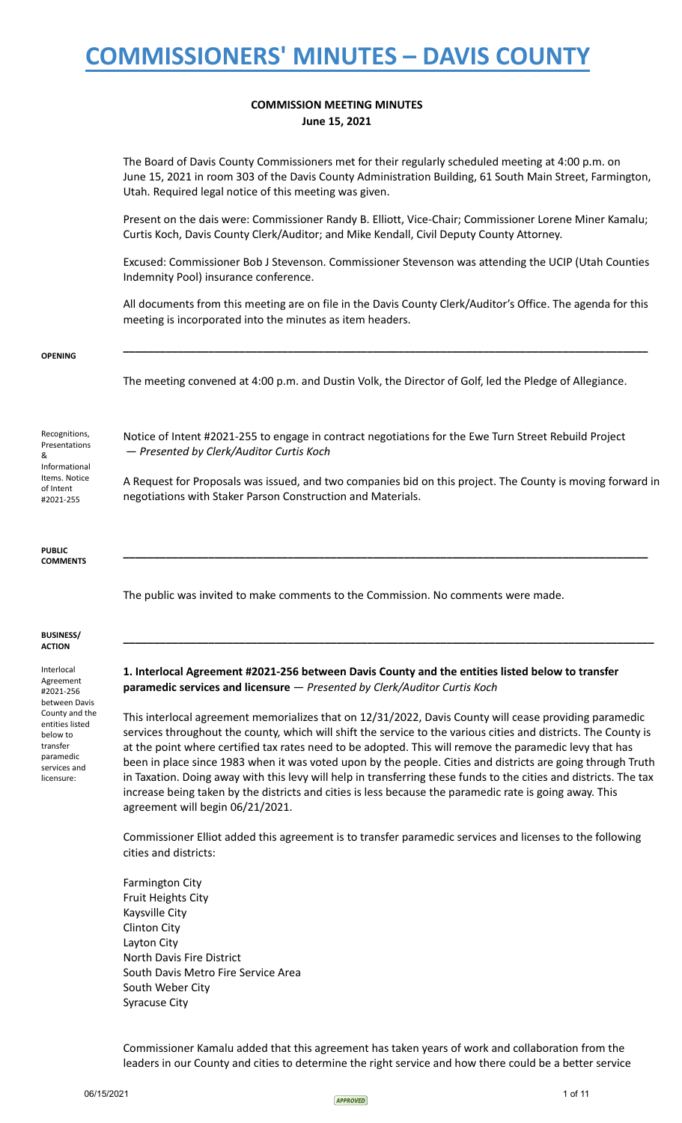### **COMMISSION MEETING MINUTES June 15, 2021**

The Board of Davis County Commissioners met for their regularly scheduled meeting at 4:00 p.m. on June 15, 2021 in room 303 of the Davis County Administration Building, 61 South Main Street, Farmington, Utah. Required legal notice of this meeting was given.

Present on the dais were: Commissioner Randy B. Elliott, Vice-Chair; Commissioner Lorene Miner Kamalu; Curtis Koch, Davis County Clerk/Auditor; and Mike Kendall, Civil Deputy County Attorney.

Excused: Commissioner Bob J Stevenson. Commissioner Stevenson was attending the UCIP (Utah Counties Indemnity Pool) insurance conference.

All documents from this meeting are on file in the Davis County Clerk/Auditor's Office. The agenda for this meeting is incorporated into the minutes as item headers.

**\_\_\_\_\_\_\_\_\_\_\_\_\_\_\_\_\_\_\_\_\_\_\_\_\_\_\_\_\_\_\_\_\_\_\_\_\_\_\_\_\_\_\_\_\_\_\_\_\_\_\_\_\_\_\_\_\_\_\_\_\_\_\_\_\_\_\_\_\_\_\_\_\_\_\_\_\_\_\_\_\_\_\_\_\_\_**

#### **OPENING**

The meeting convened at 4:00 p.m. and Dustin Volk, the Director of Golf, led the Pledge of Allegiance.

Notice of Intent #2021-255 to engage in contract negotiations for the Ewe Turn Street Rebuild Project

A Request for Proposals was issued, and two companies bid on this project. The County is moving forward in

**\_\_\_\_\_\_\_\_\_\_\_\_\_\_\_\_\_\_\_\_\_\_\_\_\_\_\_\_\_\_\_\_\_\_\_\_\_\_\_\_\_\_\_\_\_\_\_\_\_\_\_\_\_\_\_\_\_\_\_\_\_\_\_\_\_\_\_\_\_\_\_\_\_\_\_\_\_\_\_\_\_\_\_\_\_\_**

**\_\_\_\_\_\_\_\_\_\_\_\_\_\_\_\_\_\_\_\_\_\_\_\_\_\_\_\_\_\_\_\_\_\_\_\_\_\_\_\_\_\_\_\_\_\_\_\_\_\_\_\_\_\_\_\_\_\_\_\_\_\_\_\_\_\_\_\_\_\_\_\_\_\_\_\_\_\_\_\_\_\_\_\_\_\_\_**

Recognitions, Presentations & Informational Items. Notice of Intent #2021-255

**PUBLIC COMMENTS**

The public was invited to make comments to the Commission. No comments were made.

#### **BUSINESS/ ACTION**

Interlocal Agreement #2021-256 between Davis County and the entities listed below to transfer paramedic services and licensure:

**1. Interlocal Agreement #2021-256 between Davis County and the entities listed below to transfer paramedic services and licensure** — *Presented by Clerk/Auditor Curtis Koch*

This interlocal agreement memorializes that on 12/31/2022, Davis County will cease providing paramedic services throughout the county, which will shift the service to the various cities and districts. The County is at the point where certified tax rates need to be adopted. This will remove the paramedic levy that has been in place since 1983 when it was voted upon by the people. Cities and districts are going through Truth in Taxation. Doing away with this levy will help in transferring these funds to the cities and districts. The tax increase being taken by the districts and cities is less because the paramedic rate is going away. This agreement will begin 06/21/2021.

Commissioner Elliot added this agreement is to transfer paramedic services and licenses to the following cities and districts:

Farmington City Fruit Heights City Kaysville City Clinton City Layton City North Davis Fire District South Davis Metro Fire Service Area South Weber City Syracuse City

— *Presented by Clerk/Auditor Curtis Koch*

negotiations with Staker Parson Construction and Materials.

Commissioner Kamalu added that this agreement has taken years of work and collaboration from the leaders in our County and cities to determine the right service and how there could be a better service

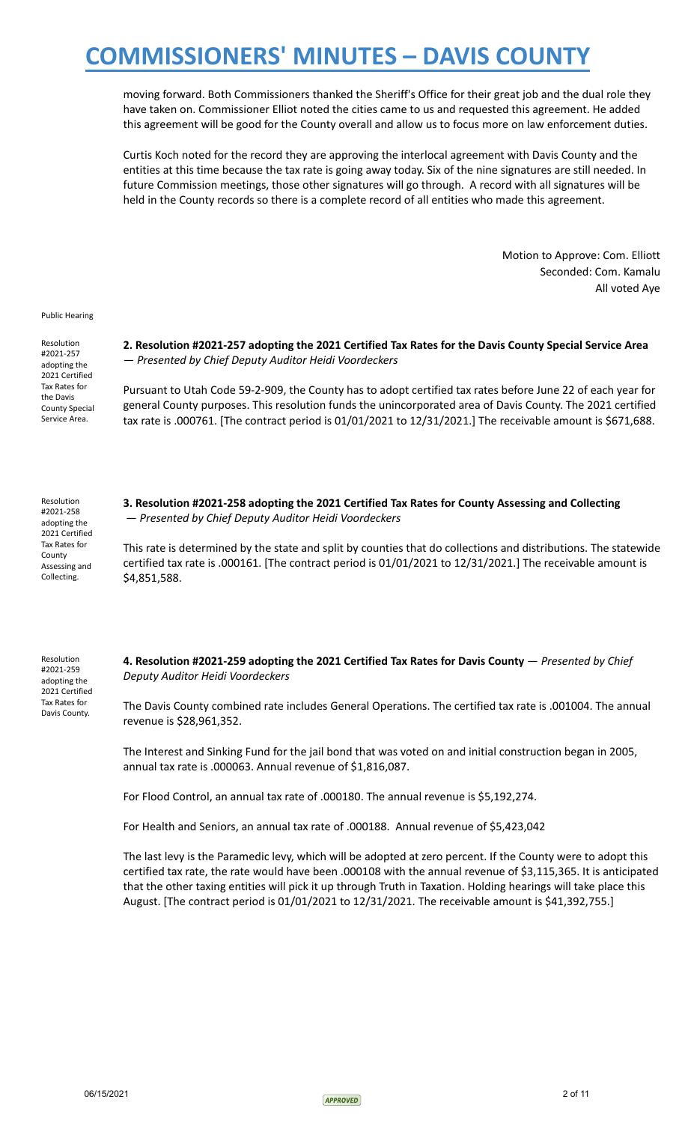moving forward. Both Commissioners thanked the Sheriff's Office for their great job and the dual role they have taken on. Commissioner Elliot noted the cities came to us and requested this agreement. He added this agreement will be good for the County overall and allow us to focus more on law enforcement duties.

Curtis Koch noted for the record they are approving the interlocal agreement with Davis County and the entities at this time because the tax rate is going away today. Six of the nine signatures are still needed. In future Commission meetings, those other signatures will go through. A record with all signatures will be held in the County records so there is a complete record of all entities who made this agreement.

> Motion to Approve: Com. Elliott Seconded: Com. Kamalu All voted Aye

Public Hearing

Resolution #2021-257 adopting the 2021 Certified Tax Rates for the Davis County Special Service Area.

**2. Resolution #2021-257 adopting the 2021 Certified Tax Rates for the Davis County Special Service Area** — *Presented by Chief Deputy Auditor Heidi Voordeckers*

Pursuant to Utah Code 59-2-909, the County has to adopt certified tax rates before June 22 of each year for general County purposes. This resolution funds the unincorporated area of Davis County. The 2021 certified tax rate is .000761. [The contract period is 01/01/2021 to 12/31/2021.] The receivable amount is \$671,688.

Resolution #2021-258 adopting the 2021 Certified Tax Rates for County Assessing and Collecting.

**3. Resolution #2021-258 adopting the 2021 Certified Tax Rates for County Assessing and Collecting** — *Presented by Chief Deputy Auditor Heidi Voordeckers*

This rate is determined by the state and split by counties that do collections and distributions. The statewide certified tax rate is .000161. [The contract period is 01/01/2021 to 12/31/2021.] The receivable amount is \$4,851,588.

Resolution #2021-259 adopting the 2021 Certified Tax Rates for Davis County.

**4. Resolution #2021-259 adopting the 2021 Certified Tax Rates for Davis County** — *Presented by Chief Deputy Auditor Heidi Voordeckers*

The Davis County combined rate includes General Operations. The certified tax rate is .001004. The annual revenue is \$28,961,352.

The Interest and Sinking Fund for the jail bond that was voted on and initial construction began in 2005, annual tax rate is .000063. Annual revenue of \$1,816,087.

For Flood Control, an annual tax rate of .000180. The annual revenue is \$5,192,274.

For Health and Seniors, an annual tax rate of .000188. Annual revenue of \$5,423,042

The last levy is the Paramedic levy, which will be adopted at zero percent. If the County were to adopt this certified tax rate, the rate would have been .000108 with the annual revenue of \$3,115,365. It is anticipated that the other taxing entities will pick it up through Truth in Taxation. Holding hearings will take place this August. [The contract period is 01/01/2021 to 12/31/2021. The receivable amount is \$41,392,755.]

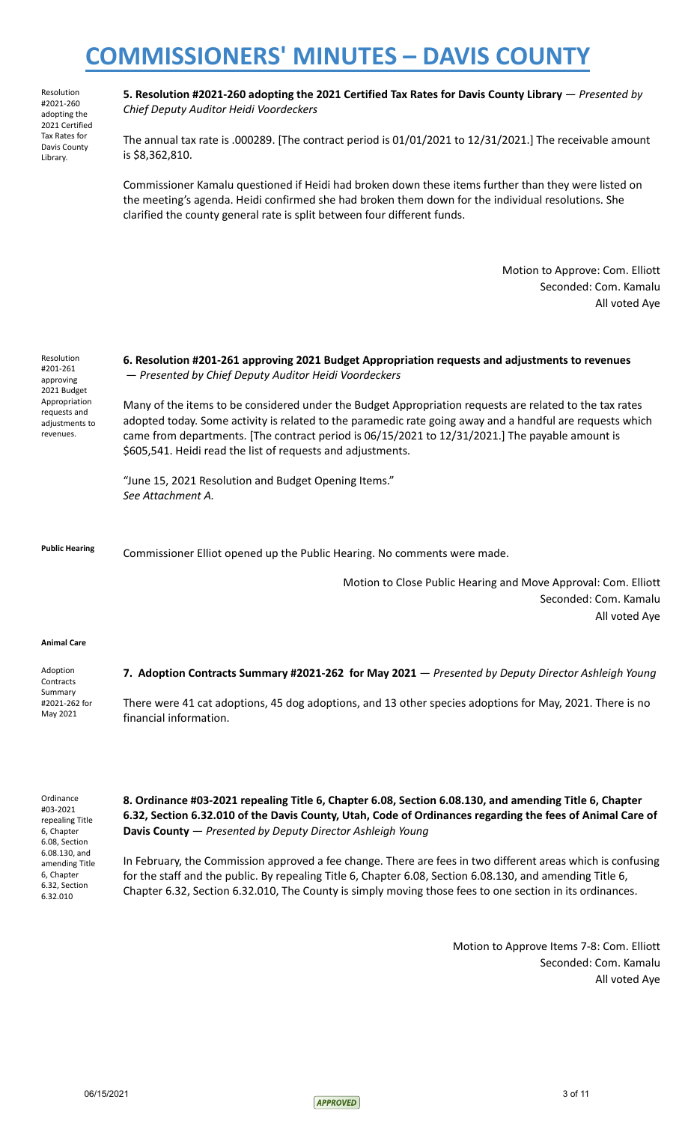Resolution #2021-260 adopting the 2021 Certified Tax Rates for Davis County Library.

**5. Resolution #2021-260 adopting the 2021 Certified Tax Rates for Davis County Library** — *Presented by Chief Deputy Auditor Heidi Voordeckers*

The annual tax rate is .000289. [The contract period is 01/01/2021 to 12/31/2021.] The receivable amount is \$8,362,810.

Commissioner Kamalu questioned if Heidi had broken down these items further than they were listed on the meeting's agenda. Heidi confirmed she had broken them down for the individual resolutions. She clarified the county general rate is split between four different funds.

> Motion to Approve: Com. Elliott Seconded: Com. Kamalu All voted Aye

Resolution #201-261 approving 2021 Budget Appropriation requests and adjustments to revenues.

### **6. Resolution #201-261 approving 2021 Budget Appropriation requests and adjustments to revenues** — *Presented by Chief Deputy Auditor Heidi Voordeckers*

Many of the items to be considered under the Budget Appropriation requests are related to the tax rates adopted today. Some activity is related to the paramedic rate going away and a handful are requests which came from departments. [The contract period is 06/15/2021 to 12/31/2021.] The payable amount is \$605,541. Heidi read the list of requests and adjustments.

"June 15, 2021 Resolution and Budget Opening Items." *See Attachment A.*

**Public Hearing** Commissioner Elliot opened up the Public Hearing. No comments were made.

Motion to Close Public Hearing and Move Approval: Com. Elliott Seconded: Com. Kamalu All voted Aye

#### **Animal Care**

Adoption **Contracts** Summary #2021-262 for May 2021 **7. Adoption Contracts Summary #2021-262 for May 2021** — *Presented by Deputy Director Ashleigh Young* There were 41 cat adoptions, 45 dog adoptions, and 13 other species adoptions for May, 2021. There is no financial information.

**Ordinance** #03-2021 repealing Title 6, Chapter 6.08, Section 6.08.130, and amending Title 6, Chapter 6.32, Section 6.32.010

**8. Ordinance #03-2021 repealing Title 6, Chapter 6.08, Section 6.08.130, and amending Title 6, Chapter 6.32, Section 6.32.010 of the Davis County, Utah, Code of Ordinances regarding the fees of Animal Care of Davis County** — *Presented by Deputy Director Ashleigh Young*

In February, the Commission approved a fee change. There are fees in two different areas which is confusing for the staff and the public. By repealing Title 6, Chapter 6.08, Section 6.08.130, and amending Title 6, Chapter 6.32, Section 6.32.010, The County is simply moving those fees to one section in its ordinances.

> Motion to Approve Items 7-8: Com. Elliott Seconded: Com. Kamalu All voted Aye

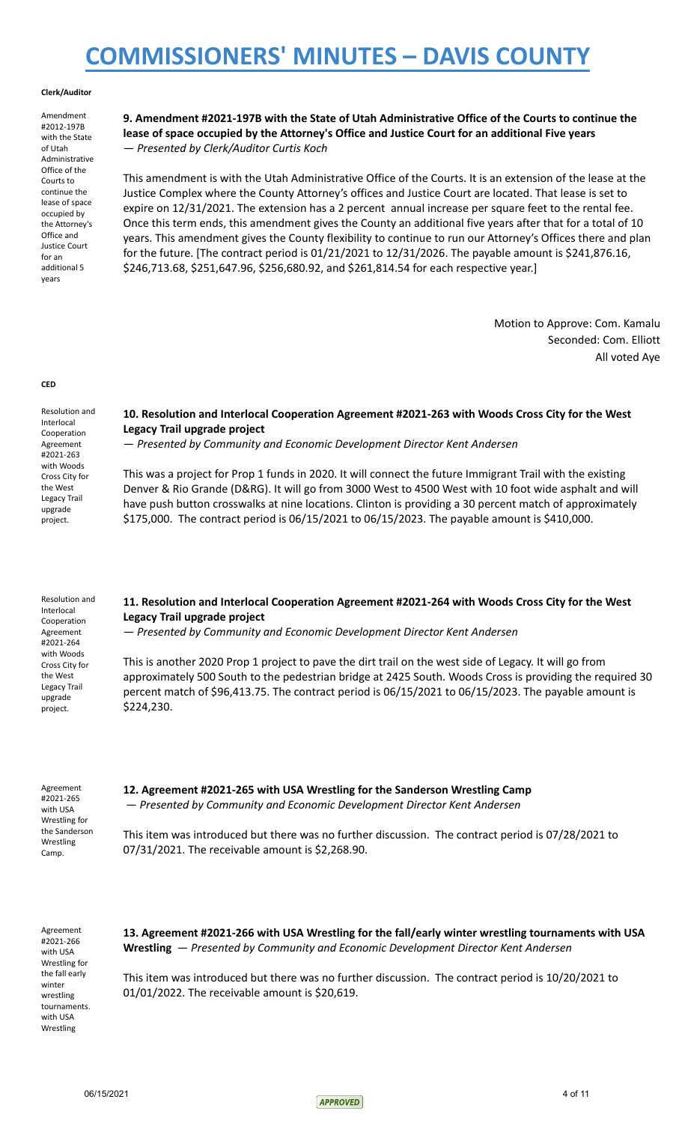#### **Clerk/Auditor**

Amendment #2012-197B with the State of Utah Administrative Office of the Courts to continue the lease of space occupied by the Attorney's Office and Justice Court for an additional 5 years

### **9. Amendment #2021-197B with the State of Utah Administrative Office of the Courts to continue the lease of space occupied by the Attorney's Office and Justice Court for an additional Five years** — *Presented by Clerk/Auditor Curtis Koch*

This amendment is with the Utah Administrative Office of the Courts. It is an extension of the lease at the Justice Complex where the County Attorney's offices and Justice Court are located. That lease is set to expire on 12/31/2021. The extension has a 2 percent annual increase per square feet to the rental fee. Once this term ends, this amendment gives the County an additional five years after that for a total of 10 years. This amendment gives the County flexibility to continue to run our Attorney's Offices there and plan for the future. [The contract period is 01/21/2021 to 12/31/2026. The payable amount is \$241,876.16, \$246,713.68, \$251,647.96, \$256,680.92, and \$261,814.54 for each respective year.]

> Motion to Approve: Com. Kamalu Seconded: Com. Elliott All voted Aye

#### **CED**

Resolution and Interlocal Cooperation Agreement #2021-263 with Woods Cross City for the West Legacy Trail upgrade project.

### **10. Resolution and Interlocal Cooperation Agreement #2021-263 with Woods Cross City for the West Legacy Trail upgrade project**

— *Presented by Community and Economic Development Director Kent Andersen*

This was a project for Prop 1 funds in 2020. It will connect the future Immigrant Trail with the existing Denver & Rio Grande (D&RG). It will go from 3000 West to 4500 West with 10 foot wide asphalt and will have push button crosswalks at nine locations. Clinton is providing a 30 percent match of approximately \$175,000. The contract period is 06/15/2021 to 06/15/2023. The payable amount is \$410,000.

| Resolution and<br>Interlocal<br>Cooperation<br>Agreement                                     | 11. Resolution and Interlocal Cooperation Agreement #2021-264 with Woods Cross City for the West<br>Legacy Trail upgrade project<br>- Presented by Community and Economic Development Director Kent Andersen                                                                                                                             |
|----------------------------------------------------------------------------------------------|------------------------------------------------------------------------------------------------------------------------------------------------------------------------------------------------------------------------------------------------------------------------------------------------------------------------------------------|
| #2021-264<br>with Woods<br>Cross City for<br>the West<br>Legacy Trail<br>upgrade<br>project. | This is another 2020 Prop 1 project to pave the dirt trail on the west side of Legacy. It will go from<br>approximately 500 South to the pedestrian bridge at 2425 South. Woods Cross is providing the required 30<br>percent match of \$96,413.75. The contract period is 06/15/2021 to 06/15/2023. The payable amount is<br>\$224,230. |

Agreement #2021-265 with USA Wrestling for the Sanderson Wrestling Camp.

**12. Agreement #2021-265 with USA Wrestling for the Sanderson Wrestling Camp** — *Presented by Community and Economic Development Director Kent Andersen*

This item was introduced but there was no further discussion. The contract period is 07/28/2021 to 07/31/2021. The receivable amount is \$2,268.90.

Agreement #2021-266 with USA Wrestling for the fall early winter wrestling tournaments. with USA Wrestling

**13. Agreement #2021-266 with USA Wrestling for the fall/early winter wrestling tournaments with USA Wrestling** — *Presented by Community and Economic Development Director Kent Andersen*

This item was introduced but there was no further discussion. The contract period is 10/20/2021 to 01/01/2022. The receivable amount is \$20,619.

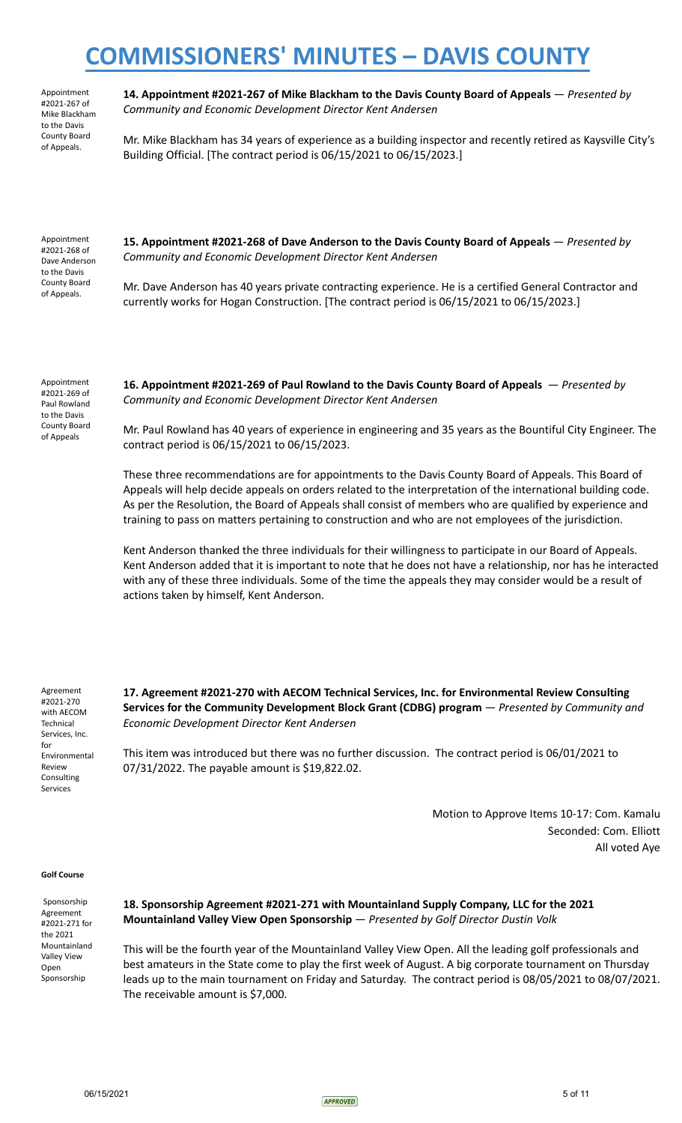Appointment #2021-267 of Mike Blackham to the Davis County Board of Appeals.

**14. Appointment #2021-267 of Mike Blackham to the Davis County Board of Appeals** — *Presented by Community and Economic Development Director Kent Andersen*

Mr. Mike Blackham has 34 years of experience as a building inspector and recently retired as Kaysville City's Building Official. [The contract period is 06/15/2021 to 06/15/2023.]

Appointment #2021-268 of Dave Anderson to the Davis County Board of Appeals.

**15. Appointment #2021-268 of Dave Anderson to the Davis County Board of Appeals** — *Presented by Community and Economic Development Director Kent Andersen*

Mr. Dave Anderson has 40 years private contracting experience. He is a certified General Contractor and currently works for Hogan Construction. [The contract period is 06/15/2021 to 06/15/2023.]

Appointment #2021-269 of Paul Rowland to the Davis County Board of Appeals

**16. Appointment #2021-269 of Paul Rowland to the Davis County Board of Appeals** — *Presented by Community and Economic Development Director Kent Andersen*

Mr. Paul Rowland has 40 years of experience in engineering and 35 years as the Bountiful City Engineer. The contract period is 06/15/2021 to 06/15/2023.

These three recommendations are for appointments to the Davis County Board of Appeals. This Board of Appeals will help decide appeals on orders related to the interpretation of the international building code. As per the Resolution, the Board of Appeals shall consist of members who are qualified by experience and training to pass on matters pertaining to construction and who are not employees of the jurisdiction.

Kent Anderson thanked the three individuals for their willingness to participate in our Board of Appeals. Kent Anderson added that it is important to note that he does not have a relationship, nor has he interacted with any of these three individuals. Some of the time the appeals they may consider would be a result of actions taken by himself, Kent Anderson.

Agreement #2021-270 with AECOM **Technical** Services, Inc. for Environmental Review Consulting Services

**17. Agreement #2021-270 with AECOM Technical Services, Inc. for Environmental Review Consulting Services for the Community Development Block Grant (CDBG) program** — *Presented by Community and Economic Development Director Kent Andersen*

This item was introduced but there was no further discussion. The contract period is 06/01/2021 to 07/31/2022. The payable amount is \$19,822.02.

> Motion to Approve Items 10-17: Com. Kamalu Seconded: Com. Elliott All voted Aye

#### **Golf Course**

Sponsorship Agreement #2021-271 for the 2021 Mountainland Valley View Open Sponsorship

### **18. Sponsorship Agreement #2021-271 with Mountainland Supply Company, LLC for the 2021 Mountainland Valley View Open Sponsorship** — *Presented by Golf Director Dustin Volk*

This will be the fourth year of the Mountainland Valley View Open. All the leading golf professionals and best amateurs in the State come to play the first week of August. A big corporate tournament on Thursday leads up to the main tournament on Friday and Saturday. The contract period is 08/05/2021 to 08/07/2021. The receivable amount is \$7,000.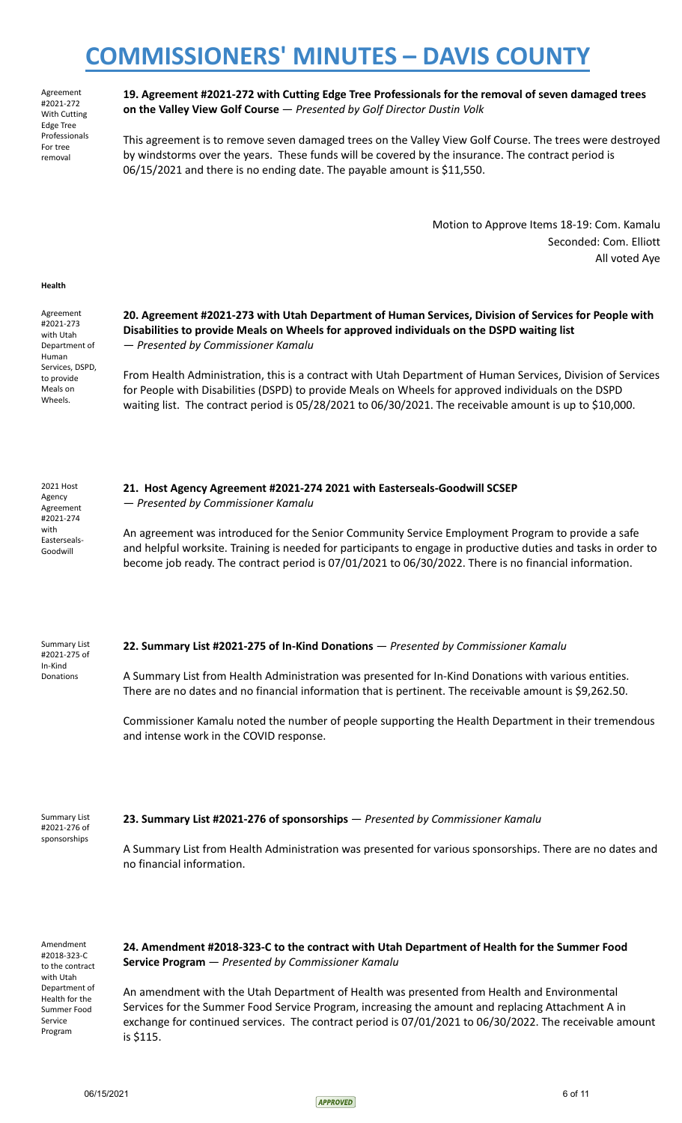Agreement #2021-272 With Cutting Edge Tree Professionals For tree removal

**19. Agreement #2021-272 with Cutting Edge Tree Professionals for the removal of seven damaged trees on the Valley View Golf Course** — *Presented by Golf Director Dustin Volk*

This agreement is to remove seven damaged trees on the Valley View Golf Course. The trees were destroyed by windstorms over the years. These funds will be covered by the insurance. The contract period is 06/15/2021 and there is no ending date. The payable amount is \$11,550.

> Motion to Approve Items 18-19: Com. Kamalu Seconded: Com. Elliott All voted Aye

#### **Health**

Agreement #2021-273 with Utah Department of Human Services, DSPD, to provide Meals on Wheels.

### **20. Agreement #2021-273 with Utah Department of Human Services, Division of Services for People with Disabilities to provide Meals on Wheels for approved individuals on the DSPD waiting list** — *Presented by Commissioner Kamalu*

From Health Administration, this is a contract with Utah Department of Human Services, Division of Services for People with Disabilities (DSPD) to provide Meals on Wheels for approved individuals on the DSPD waiting list. The contract period is 05/28/2021 to 06/30/2021. The receivable amount is up to \$10,000.

2021 Host Agency Agreement #2021-274 with Easterseals-Goodwill

### **21. Host Agency Agreement #2021-274 2021 with Easterseals-Goodwill SCSEP**

— *Presented by Commissioner Kamalu*

An agreement was introduced for the Senior Community Service Employment Program to provide a safe and helpful worksite. Training is needed for participants to engage in productive duties and tasks in order to become job ready. The contract period is 07/01/2021 to 06/30/2022. There is no financial information.

Summary List #2021-275 of In-Kind Donations

#### **22. Summary List #2021-275 of In-Kind Donations** — *Presented by Commissioner Kamalu*

A Summary List from Health Administration was presented for In-Kind Donations with various entities. There are no dates and no financial information that is pertinent. The receivable amount is \$9,262.50.

Commissioner Kamalu noted the number of people supporting the Health Department in their tremendous and intense work in the COVID response.

#### Summary List #2021-276 of **23. Summary List #2021-276 of sponsorships** — *Presented by Commissioner Kamalu*

A Summary List from Health Administration was presented for various sponsorships. There are no dates and no financial information.

Amendment #2018-323-C to the contract with Utah Department of Health for the Summer Food Service Program

sponsorships

**24. Amendment #2018-323-C to the contract with Utah Department of Health for the Summer Food Service Program** — *Presented by Commissioner Kamalu*

An amendment with the Utah Department of Health was presented from Health and Environmental Services for the Summer Food Service Program, increasing the amount and replacing Attachment A in exchange for continued services. The contract period is 07/01/2021 to 06/30/2022. The receivable amount is \$115.

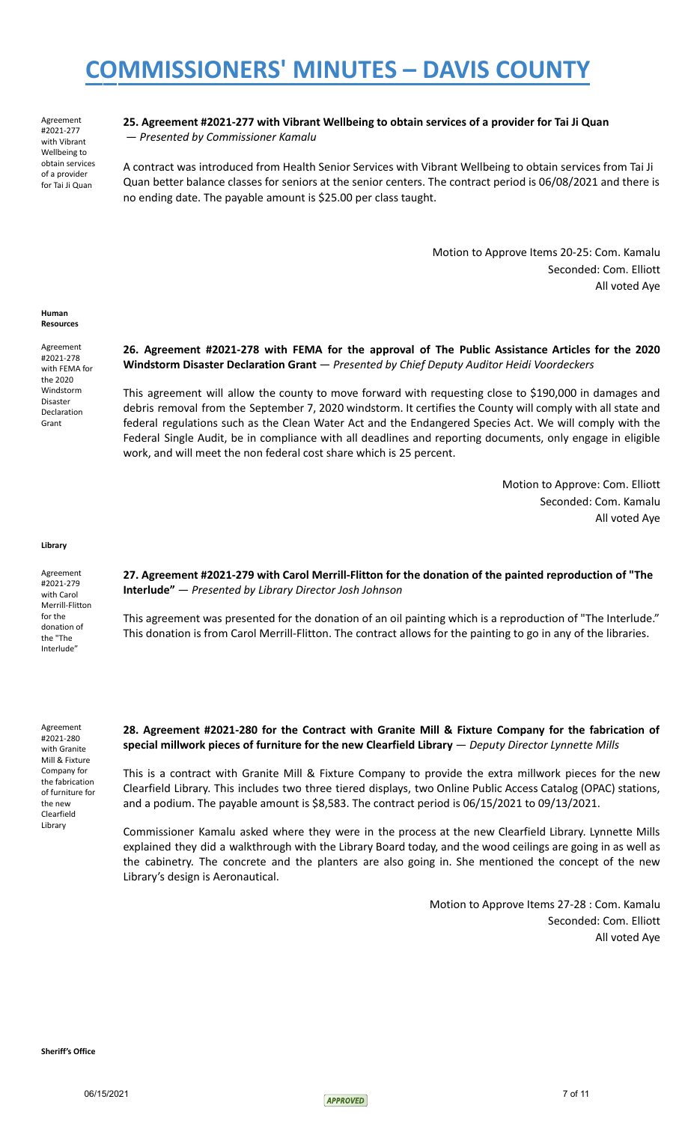Agreement #2021-277 with Vibrant Wellbeing to obtain services of a provider for Tai Ji Quan

### **25. Agreement #2021-277 with Vibrant Wellbeing to obtain services of a provider for Tai Ji Quan** — *Presented by Commissioner Kamalu*

A contract was introduced from Health Senior Services with Vibrant Wellbeing to obtain services from Tai Ji Quan better balance classes for seniors at the senior centers. The contract period is 06/08/2021 and there is no ending date. The payable amount is \$25.00 per class taught.

> Motion to Approve Items 20-25: Com. Kamalu Seconded: Com. Elliott All voted Aye

**Human Resources**

Agreement #2021-278 with FEMA for the 2020 Windstorm Disaster Declaration Grant

### **26. Agreement #2021-278 with FEMA for the approval of The Public Assistance Articles for the 2020 Windstorm Disaster Declaration Grant** — *Presented by Chief Deputy Auditor Heidi Voordeckers*

This agreement will allow the county to move forward with requesting close to \$190,000 in damages and debris removal from the September 7, 2020 windstorm. It certifies the County will comply with all state and federal regulations such as the Clean Water Act and the Endangered Species Act. We will comply with the Federal Single Audit, be in compliance with all deadlines and reporting documents, only engage in eligible work, and will meet the non federal cost share which is 25 percent.

> Motion to Approve: Com. Elliott Seconded: Com. Kamalu All voted Aye

**Library**

Agreement #2021-279 with Carol Merrill-Flitton for the donation of the "The Interlude"

**27. Agreement #2021-279 with Carol Merrill-Flitton for the donation of the painted reproduction of "The Interlude"** — *Presented by Library Director Josh Johnson*

This agreement was presented for the donation of an oil painting which is a reproduction of "The Interlude." This donation is from Carol Merrill-Flitton. The contract allows for the painting to go in any of the libraries.

Agreement #2021-280 with Granite Mill & Fixture Company for the fabrication of furniture for the new Clearfield Library

**28. Agreement #2021-280 for the Contract with Granite Mill & Fixture Company for the fabrication of special millwork pieces of furniture for the new Clearfield Library** — *Deputy Director Lynnette Mills*

This is a contract with Granite Mill & Fixture Company to provide the extra millwork pieces for the new Clearfield Library. This includes two three tiered displays, two Online Public Access Catalog (OPAC) stations, and a podium. The payable amount is \$8,583. The contract period is 06/15/2021 to 09/13/2021.

Commissioner Kamalu asked where they were in the process at the new Clearfield Library. Lynnette Mills explained they did a walkthrough with the Library Board today, and the wood ceilings are going in as well as the cabinetry. The concrete and the planters are also going in. She mentioned the concept of the new Library's design is Aeronautical.

> Motion to Approve Items 27-28 : Com. Kamalu Seconded: Com. Elliott All voted Aye

**Sheriff's Office**

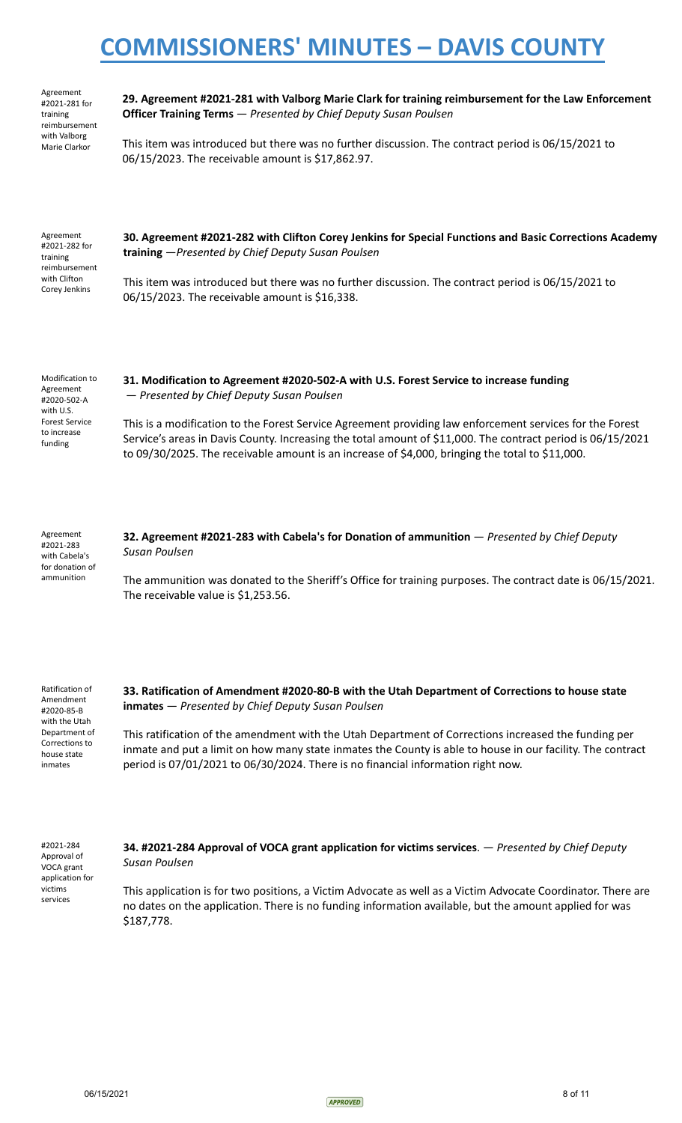Agreement #2021-281 for training reimbursement with Valborg Marie Clarkor

**29. Agreement #2021-281 with Valborg Marie Clark for training reimbursement for the Law Enforcement Officer Training Terms** *— Presented by Chief Deputy Susan Poulsen*

This item was introduced but there was no further discussion. The contract period is 06/15/2021 to 06/15/2023. The receivable amount is \$17,862.97.

| Agreement<br>#2021-282 for<br>training<br>reimbursement<br>with Clifton<br>Corey Jenkins | 30. Agreement #2021-282 with Clifton Corey Jenkins for Special Functions and Basic Corrections Academy<br>training - Presented by Chief Deputy Susan Poulsen |
|------------------------------------------------------------------------------------------|--------------------------------------------------------------------------------------------------------------------------------------------------------------|
|                                                                                          | This item was introduced but there was no further discussion. The contract period is 06/15/2021 to<br>06/15/2023. The receivable amount is \$16,338.         |

Modification to Agreement #2020-502-A with U.S. Forest Service to increase funding

### **31. Modification to Agreement #2020-502-A with U.S. Forest Service to increase funding** — *Presented by Chief Deputy Susan Poulsen*

This is a modification to the Forest Service Agreement providing law enforcement services for the Forest Service's areas in Davis County. Increasing the total amount of \$11,000. The contract period is 06/15/2021 to 09/30/2025. The receivable amount is an increase of \$4,000, bringing the total to \$11,000.

Agreement #2021-283 with Cabela's for donation of ammunition

**32. Agreement #2021-283 with Cabela's for Donation of ammunition** — *Presented by Chief Deputy Susan Poulsen*

The ammunition was donated to the Sheriff's Office for training purposes. The contract date is 06/15/2021. The receivable value is \$1,253.56.

Ratification of Amendment #2020-85-B with the Utah Department of Corrections to house state inmates

### **33. Ratification of Amendment #2020-80-B with the Utah Department of Corrections to house state inmates** — *Presented by Chief Deputy Susan Poulsen*

This ratification of the amendment with the Utah Department of Corrections increased the funding per inmate and put a limit on how many state inmates the County is able to house in our facility. The contract period is 07/01/2021 to 06/30/2024. There is no financial information right now.

#2021-284 Approval of VOCA grant application for victims services

**34. #2021-284 Approval of VOCA grant application for victims services**. — *Presented by Chief Deputy Susan Poulsen*

This application is for two positions, a Victim Advocate as well as a Victim Advocate Coordinator. There are no dates on the application. There is no funding information available, but the amount applied for was \$187,778.

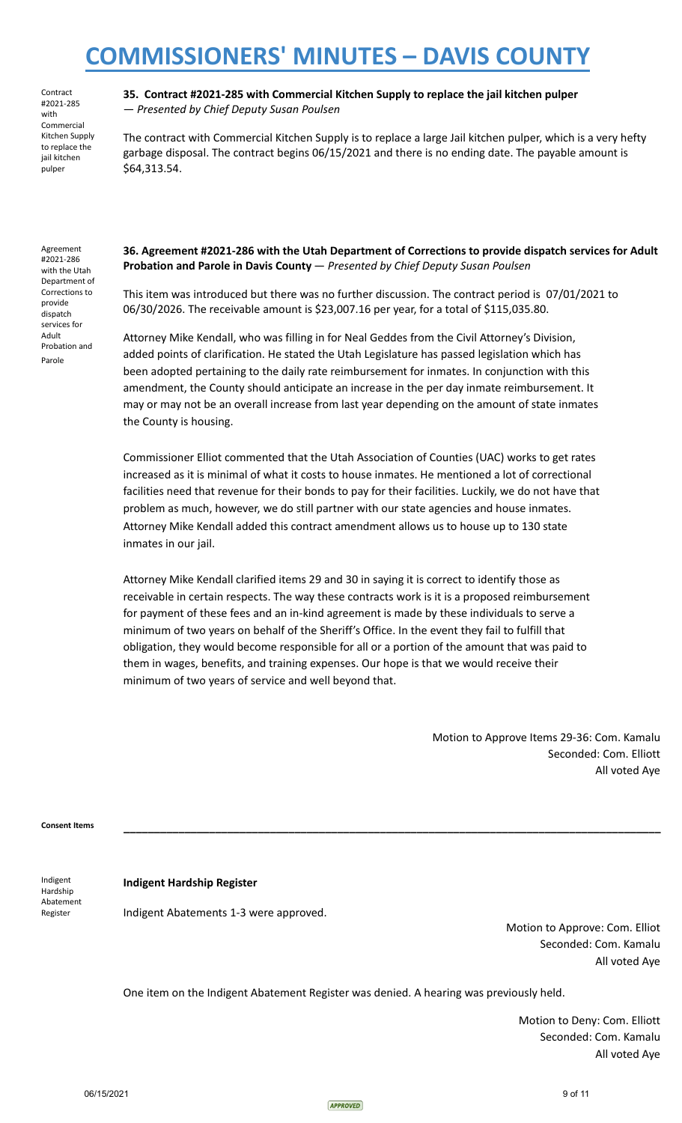**Contract** #2021-285 with Commercial Kitchen Supply to replace the jail kitchen pulper

**35. Contract #2021-285 with Commercial Kitchen Supply to replace the jail kitchen pulper** — *Presented by Chief Deputy Susan Poulsen*

The contract with Commercial Kitchen Supply is to replace a large Jail kitchen pulper, which is a very hefty garbage disposal. The contract begins 06/15/2021 and there is no ending date. The payable amount is \$64,313.54.

Agreement #2021-286 with the Utah Department of Corrections to provide dispatch services for Adult Probation and Parole

**36. Agreement #2021-286 with the Utah Department of Corrections to provide dispatch services for Adult Probation and Parole in Davis County** — *Presented by Chief Deputy Susan Poulsen*

This item was introduced but there was no further discussion. The contract period is 07/01/2021 to 06/30/2026. The receivable amount is \$23,007.16 per year, for a total of \$115,035.80.

Attorney Mike Kendall, who was filling in for Neal Geddes from the Civil Attorney's Division, added points of clarification. He stated the Utah Legislature has passed legislation which has been adopted pertaining to the daily rate reimbursement for inmates. In conjunction with this amendment, the County should anticipate an increase in the per day inmate reimbursement. It may or may not be an overall increase from last year depending on the amount of state inmates the County is housing.

Commissioner Elliot commented that the Utah Association of Counties (UAC) works to get rates increased as it is minimal of what it costs to house inmates. He mentioned a lot of correctional facilities need that revenue for their bonds to pay for their facilities. Luckily, we do not have that problem as much, however, we do still partner with our state agencies and house inmates. Attorney Mike Kendall added this contract amendment allows us to house up to 130 state inmates in our jail.

Attorney Mike Kendall clarified items 29 and 30 in saying it is correct to identify those as receivable in certain respects. The way these contracts work is it is a proposed reimbursement for payment of these fees and an in-kind agreement is made by these individuals to serve a minimum of two years on behalf of the Sheriff's Office. In the event they fail to fulfill that obligation, they would become responsible for all or a portion of the amount that was paid to them in wages, benefits, and training expenses. Our hope is that we would receive their minimum of two years of service and well beyond that.

> Motion to Approve Items 29-36: Com. Kamalu Seconded: Com. Elliott All voted Aye

**Consent Items \_\_\_\_\_\_\_\_\_\_\_\_\_\_\_\_\_\_\_\_\_\_\_\_\_\_\_\_\_\_\_\_\_\_\_\_\_\_\_\_\_\_\_\_\_\_\_\_\_\_\_\_\_\_\_\_\_\_\_\_\_\_\_\_\_\_\_\_\_\_\_\_\_\_\_\_\_\_\_\_\_\_\_\_\_\_\_\_**

Indigent Hardship Abatement **Register** 

#### **Indigent Hardship Register**

Indigent Abatements 1-3 were approved.

Motion to Approve: Com. Elliot Seconded: Com. Kamalu All voted Aye

One item on the Indigent Abatement Register was denied. A hearing was previously held.

Motion to Deny: Com. Elliott Seconded: Com. Kamalu All voted Aye

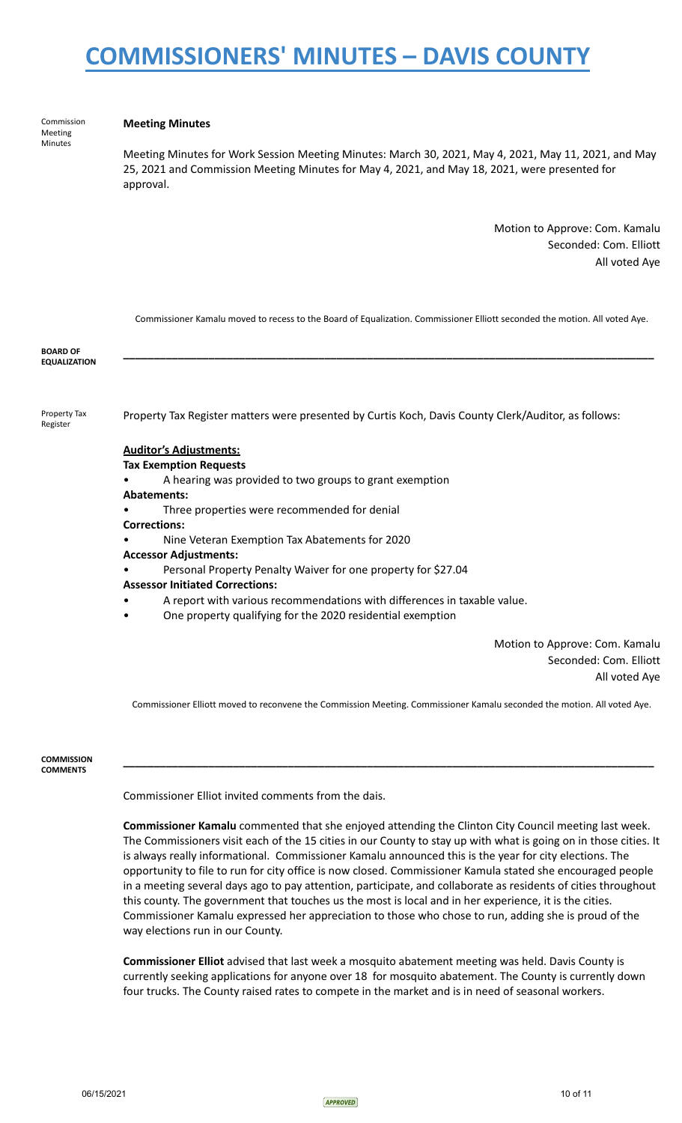Commission Meeting Minutes

#### **Meeting Minutes**

Meeting Minutes for Work Session Meeting Minutes: March 30, 2021, May 4, 2021, May 11, 2021, and May 25, 2021 and Commission Meeting Minutes for May 4, 2021, and May 18, 2021, were presented for approval.

> Motion to Approve: Com. Kamalu Seconded: Com. Elliott All voted Aye

|                                        | Commissioner Kamalu moved to recess to the Board of Equalization. Commissioner Elliott seconded the motion. All voted Aye. |
|----------------------------------------|----------------------------------------------------------------------------------------------------------------------------|
| <b>BOARD OF</b><br><b>EQUALIZATION</b> |                                                                                                                            |
| Property Tax<br>Register               | Property Tax Register matters were presented by Curtis Koch, Davis County Clerk/Auditor, as follows:                       |
|                                        | <b>Auditor's Adjustments:</b>                                                                                              |
|                                        | <b>Tax Exemption Requests</b>                                                                                              |
|                                        | A hearing was provided to two groups to grant exemption                                                                    |
|                                        | <b>Abatements:</b>                                                                                                         |
|                                        | Three properties were recommended for denial                                                                               |
|                                        | <b>Corrections:</b>                                                                                                        |
|                                        | Nine Veteran Exemption Tax Abatements for 2020                                                                             |
|                                        | <b>Accessor Adjustments:</b>                                                                                               |
|                                        | Personal Property Penalty Waiver for one property for \$27.04                                                              |
|                                        | <b>Assessor Initiated Corrections:</b>                                                                                     |
|                                        | A report with various recommendations with differences in taxable value.                                                   |
|                                        | One property qualifying for the 2020 residential exemption<br>٠                                                            |
|                                        | Motion to Approve: Com. Kamalu                                                                                             |
|                                        | Seconded: Com. Elliott                                                                                                     |

All voted Aye

Commissioner Elliott moved to reconvene the Commission Meeting. Commissioner Kamalu seconded the motion. All voted Aye.

**\_\_\_\_\_\_\_\_\_\_\_\_\_\_\_\_\_\_\_\_\_\_\_\_\_\_\_\_\_\_\_\_\_\_\_\_\_\_\_\_\_\_\_\_\_\_\_\_\_\_\_\_\_\_\_\_\_\_\_\_\_\_\_\_\_\_\_\_\_\_\_\_\_\_\_\_\_\_\_\_\_\_\_\_\_\_\_**

**COMMISSION COMMENTS**

Commissioner Elliot invited comments from the dais.

**Commissioner Kamalu** commented that she enjoyed attending the Clinton City Council meeting last week. The Commissioners visit each of the 15 cities in our County to stay up with what is going on in those cities. It is always really informational. Commissioner Kamalu announced this is the year for city elections. The opportunity to file to run for city office is now closed. Commissioner Kamula stated she encouraged people in a meeting several days ago to pay attention, participate, and collaborate as residents of cities throughout this county. The government that touches us the most is local and in her experience, it is the cities. Commissioner Kamalu expressed her appreciation to those who chose to run, adding she is proud of the way elections run in our County.

**Commissioner Elliot** advised that last week a mosquito abatement meeting was held. Davis County is currently seeking applications for anyone over 18 for mosquito abatement. The County is currently down four trucks. The County raised rates to compete in the market and is in need of seasonal workers.